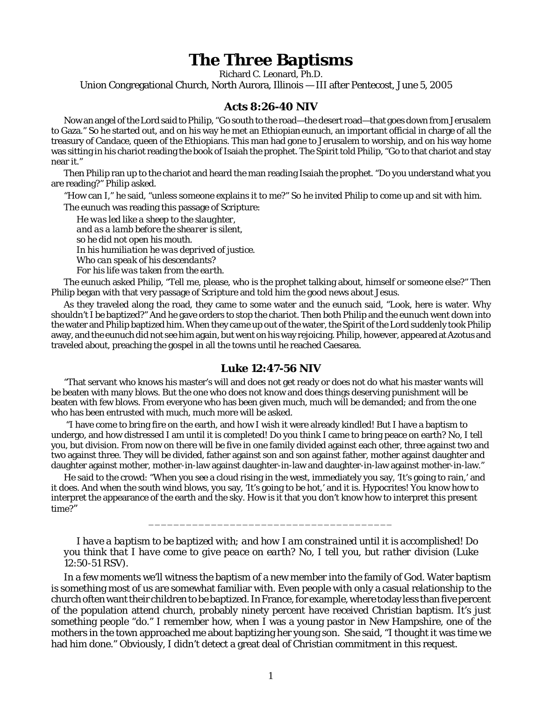## **The Three Baptisms**

Richard C. Leonard, Ph.D.

Union Congregational Church, North Aurora, Illinois — III after Pentecost, June 5, 2005

## **Acts 8:26-40 NIV**

Now an angel of the Lord said to Philip, "Go south to the road—the desert road—that goes down from Jerusalem to Gaza." So he started out, and on his way he met an Ethiopian eunuch, an important official in charge of all the treasury of Candace, queen of the Ethiopians. This man had gone to Jerusalem to worship, and on his way home was sitting in his chariot reading the book of Isaiah the prophet. The Spirit told Philip, "Go to that chariot and stay near it."

Then Philip ran up to the chariot and heard the man reading Isaiah the prophet. "Do you understand what you are reading?" Philip asked.

"How can I," he said, "unless someone explains it to me?" So he invited Philip to come up and sit with him.

The eunuch was reading this passage of Scripture:

*He was led like a sheep to the slaughter, and as a lamb before the shearer is silent, so he did not open his mouth. In his humiliation he was deprived of justice. Who can speak of his descendants? For his life was taken from the earth.*

The eunuch asked Philip, "Tell me, please, who is the prophet talking about, himself or someone else?" Then Philip began with that very passage of Scripture and told him the good news about Jesus.

As they traveled along the road, they came to some water and the eunuch said, "Look, here is water. Why shouldn't I be baptized?" And he gave orders to stop the chariot. Then both Philip and the eunuch went down into the water and Philip baptized him. When they came up out of the water, the Spirit of the Lord suddenly took Philip away, and the eunuch did not see him again, but went on his way rejoicing. Philip, however, appeared at Azotus and traveled about, preaching the gospel in all the towns until he reached Caesarea.

## **Luke 12:47-56 NIV**

"That servant who knows his master's will and does not get ready or does not do what his master wants will be beaten with many blows. But the one who does not know and does things deserving punishment will be beaten with few blows. From everyone who has been given much, much will be demanded; and from the one who has been entrusted with much, much more will be asked.

 "I have come to bring fire on the earth, and how I wish it were already kindled! But I have a baptism to undergo, and how distressed I am until it is completed! Do you think I came to bring peace on earth? No, I tell you, but division. From now on there will be five in one family divided against each other, three against two and two against three. They will be divided, father against son and son against father, mother against daughter and daughter against mother, mother-in-law against daughter-in-law and daughter-in-law against mother-in-law."

He said to the crowd: "When you see a cloud rising in the west, immediately you say, 'It's going to rain,' and it does. And when the south wind blows, you say, 'It's going to be hot,' and it is. Hypocrites! You know how to interpret the appearance of the earth and the sky. How is it that you don't know how to interpret this present time?"

*I have a baptism to be baptized with; and how I am constrained until it is accomplished! Do you think that I have come to give peace on earth? No, I tell you, but rather division* (Luke 12:50-51 RSV).

\_\_\_\_\_\_\_\_\_\_\_\_\_\_\_\_\_\_\_\_\_\_\_\_\_\_\_\_\_\_\_\_\_\_\_\_\_\_\_

In a few moments we'll witness the baptism of a new member into the family of God. Water baptism is something most of us are somewhat familiar with. Even people with only a casual relationship to the church often want their children to be baptized. In France, for example, where today less than five percent of the population attend church, probably ninety percent have received Christian baptism. It's just something people "do." I remember how, when I was a young pastor in New Hampshire, one of the mothers in the town approached me about baptizing her young son. She said, "I thought it was time we had him done." Obviously, I didn't detect a great deal of Christian commitment in this request.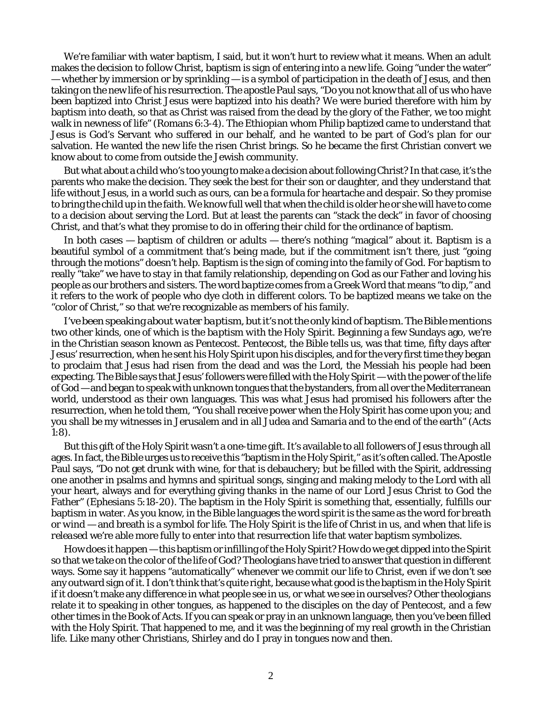We're familiar with water baptism, I said, but it won't hurt to review what it means. When an adult makes the decision to follow Christ, baptism is sign of entering into a new life. Going "under the water" — whether by immersion or by sprinkling — is a symbol of participation in the death of Jesus, and then taking on the new life of his resurrection. The apostle Paul says, "Do you not know that all of us who have been baptized into Christ Jesus were baptized into his death? We were buried therefore *with him* by baptism into death, so that as Christ was raised from the dead by the glory of the Father, we too might walk in newness of life" (Romans 6:3-4). The Ethiopian whom Philip baptized came to understand that Jesus is God's Servant who suffered in our behalf, and he wanted to be part of God's plan for our salvation. He wanted the new life the risen Christ brings. So he became the first Christian convert we know about to come from outside the Jewish community.

But what about a child who's too young to make a decision about following Christ? In that case, it's the parents who make the decision. They seek the best for their son or daughter, and they understand that life without Jesus, in a world such as ours, can be a formula for heartache and despair. So they promise to bring the child up in the faith. We know full well that when the child is older he or she will have to come to a decision about serving the Lord. But at least the parents can "stack the deck" in favor of choosing Christ, and that's what they promise to do in offering their child for the ordinance of baptism.

In both cases — baptism of children or adults — there's nothing "magical" about it. Baptism is a beautiful symbol of a commitment that's being made, but if the commitment isn't there, just "going through the motions" doesn't help. Baptism is the sign of coming into the family of God. For baptism to really "take" we have to *stay* in that family relationship, depending on God as our Father and loving his people as our brothers and sisters. The word *baptize* comes from a Greek Word that means "to dip," and it refers to the work of people who dye cloth in different colors. To be baptized means we take on the "color of Christ," so that we're recognizable as members of his family.

I've been speaking about *water baptism*, but it's not the only kind of baptism. The Bible mentions two other kinds, one of which is the *baptism with the Holy Spirit.* Beginning a few Sundays ago, we're in the Christian season known as Pentecost. Pentecost, the Bible tells us, was that time, fifty days after Jesus' resurrection, when he sent his Holy Spirit upon his disciples, and for the very first time they began to proclaim that Jesus had risen from the dead and was the Lord, the Messiah his people had been expecting. The Bible says that Jesus' followers were *filled* with the Holy Spirit — with the power of the life of God — and began to speak with unknown tongues that the bystanders, from all over the Mediterranean world, understood as their own languages. This was what Jesus had promised his followers after the resurrection, when he told them, "You shall receive power when the Holy Spirit has come upon you; and you shall be my witnesses in Jerusalem and in all Judea and Samaria and to the end of the earth" (Acts 1:8).

But this gift of the Holy Spirit wasn't a one-time gift. It's available to all followers of Jesus through all ages. In fact, the Bible urges us to receive this "baptism in the Holy Spirit," as it's often called. The Apostle Paul says, "Do not get drunk with wine, for that is debauchery; but be filled with the Spirit, addressing one another in psalms and hymns and spiritual songs, singing and making melody to the Lord with all your heart, always and for everything giving thanks in the name of our Lord Jesus Christ to God the Father" (Ephesians 5:18-20). The baptism in the Holy Spirit is something that, essentially, fulfills our baptism in water. As you know, in the Bible languages the word *spirit* is the same as the word for *breath* or *wind* — and breath is a symbol for *life*. The Holy Spirit is the life of Christ in us, and when that life is *released* we're able more fully to enter into that resurrection life that water baptism symbolizes.

How does it happen — this baptism or infilling of the Holy Spirit? How do we get *dipped* into the Spirit so that we take on the color of the life of God? Theologians have tried to answer that question in different ways. Some say it happens "automatically" whenever we commit our life to Christ, even if we don't see any outward sign of it. I don't think that's quite right, because what good is the baptism in the Holy Spirit if it doesn't make any difference in what people see in us, or what we see in ourselves? Other theologians relate it to speaking in other tongues, as happened to the disciples on the day of Pentecost, and a few other times in the Book of Acts. If you can speak or pray in an unknown language, then you've been filled with the Holy Spirit. That happened to me, and it was the beginning of my real growth in the Christian life. Like many other Christians, Shirley and do I pray in tongues now and then.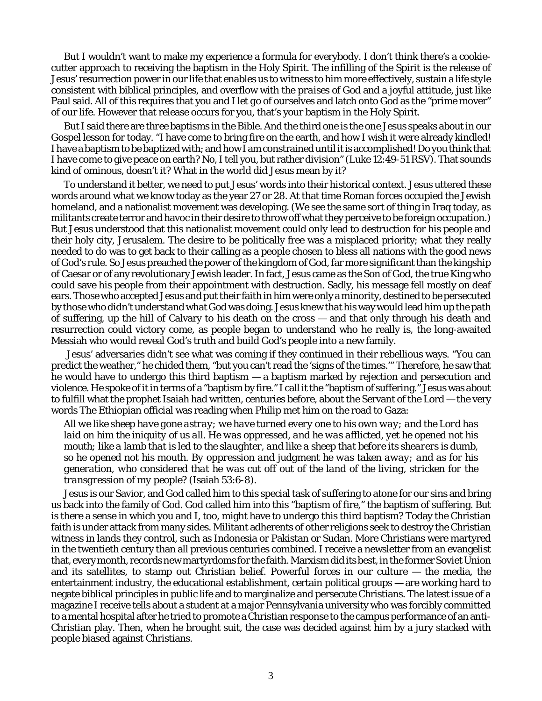But I wouldn't want to make my experience a formula for everybody. I don't think there's a cookiecutter approach to receiving the baptism in the Holy Spirit. The infilling of the Spirit is the release of Jesus' resurrection power in our life that enables us to *witness* to him more effectively, sustain a *life style* consistent with biblical principles, and overflow with the *praises of God* and a joyful attitude, just like Paul said. All of this requires that you and I *let go of ourselves* and latch onto God as the "prime mover" of our life. However that release occurs for you, that's your baptism in the Holy Spirit.

But I said there are *three* baptisms in the Bible. And the third one is the one Jesus speaks about in our Gospel lesson for today. "I have come to bring fire on the earth, and how I wish it were already kindled! I have a baptism to be baptized with; and how I am constrained until it is accomplished! Do you think that I have come to give peace on earth? No, I tell you, but rather division" (Luke 12:49-51 RSV). That sounds kind of ominous, doesn't it? What in the world did Jesus mean by it?

To understand it better, we need to put Jesus' words into their historical context. Jesus uttered these words around what we know today as the year 27 or 28. At that time Roman forces occupied the Jewish homeland, and a nationalist movement was developing. (We see the same sort of thing in Iraq today, as militants create terror and havoc in their desire to throw off what they perceive to be foreign occupation.) But Jesus understood that this nationalist movement could only lead to destruction for his people and their holy city, Jerusalem. The desire to be politically free was a misplaced priority; what they really needed to do was to get back to their calling as a people chosen to bless all nations with the good news of God's rule. So Jesus preached the power of the kingdom of God, far more significant than the kingship of Caesar or of any revolutionary Jewish leader. In fact, Jesus came as the Son of God, the true King who could save his people from their appointment with destruction. Sadly, his message fell mostly on deaf ears. Those who accepted Jesus and put their faith in him were only a minority, destined to be persecuted by those who didn't understand what God was doing. Jesus knew that his way would lead him up the path of suffering, up the hill of Calvary to his death on the cross — and that only through his death and resurrection could victory come, as people began to understand who he really is, the long-awaited Messiah who would reveal God's truth and build God's people into a new family.

 Jesus' adversaries didn't see what was coming if they continued in their rebellious ways. "You can predict the weather," he chided them, "but you can't read the 'signs of the times.'" Therefore, he saw that he would have to undergo this third baptism — a baptism marked by rejection and persecution and violence. He spoke of it in terms of a "baptism by fire." I call it the "baptism of suffering." Jesus was about to fulfill what the prophet Isaiah had written, centuries before, about the Servant of the Lord — the very words The Ethiopian official was reading when Philip met him on the road to Gaza:

*All we like sheep have gone astray; we have turned every one to his own way; and the Lord has laid on him the iniquity of us all. He was oppressed, and he was afflicted, yet he opened not his mouth; like a lamb that is led to the slaughter, and like a sheep that before its shearers is dumb, so he opened not his mouth. By oppression and judgment he was taken away; and as for his generation, who considered that he was cut off out of the land of the living, stricken for the transgression of my people?* (Isaiah 53:6-8).

Jesus is our Savior, and God called him to this special task of suffering to atone for our sins and bring us back into the family of God. God called him into this "baptism of fire," the baptism of suffering. But is there a sense in which you and I, too, might have to undergo this third baptism? Today the Christian faith is under attack from many sides. Militant adherents of other religions seek to destroy the Christian witness in lands they control, such as Indonesia or Pakistan or Sudan. More Christians were martyred in the twentieth century than all previous centuries combined. I receive a newsletter from an evangelist that, every month, records new martyrdoms for the faith. Marxism did its best, in the former Soviet Union and its satellites, to stamp out Christian belief. Powerful forces in our culture — the media, the entertainment industry, the educational establishment, certain political groups — are working hard to negate biblical principles in public life and to marginalize and persecute Christians. The latest issue of a magazine I receive tells about a student at a major Pennsylvania university who was forcibly committed to a mental hospital after he tried to promote a Christian response to the campus performance of an anti-Christian play. Then, when he brought suit, the case was decided against him by a jury stacked with people biased against Christians.